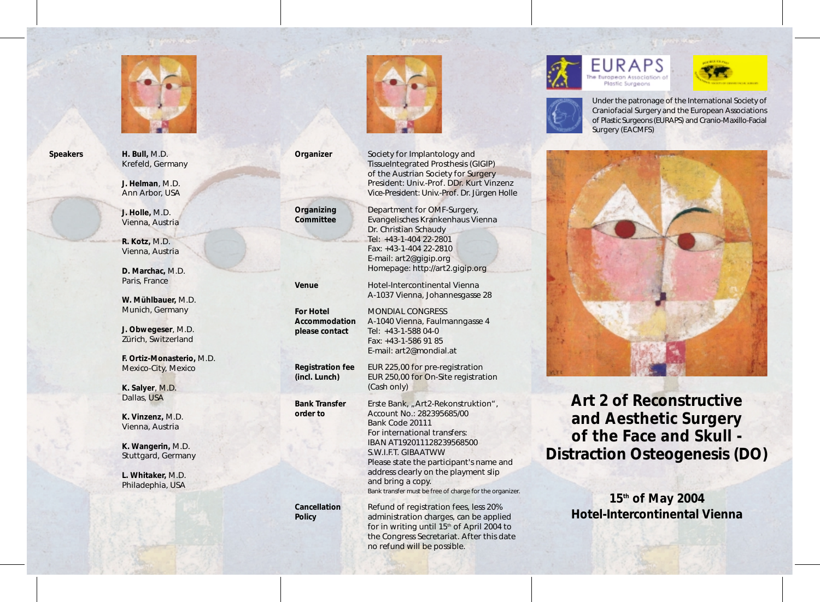

**Speakers H. Bull,** M.D. Krefeld, Germany

> **J. Helman**, M.D. Ann Arbor, USA

> **J. Holle,** M.D. Vienna, Austria

**R. Kotz,** M.D. Vienna, Austria

**D. Marchac,** M.D. Paris, France

**W. Mühlbauer,** M.D. Munich, Germany

**J. Obwegeser**, M.D. Zürich, Switzerland

**F. Ortiz-Monasterio,** M.D. Mexico-City, Mexico

**K. Salyer**, M.D. Dallas, USA

**K. Vinzenz,** M.D. Vienna, Austria

**K. Wangerin,** M.D. Stuttgard, Germany

**L. Whitaker,** M.D. Philadephia, USA



**Organizer** Society for Implantology and TissueIntegrated Prosthesis (GIGIP) of the Austrian Society for Surgery President: Univ.-Prof. DDr. Kurt Vinzenz Vice-President: Univ.-Prof. Dr. Jürgen Holle

**Organizing** Department for OMF-Surgery, **Committee** Evangelisches Krankenhaus Vienna Dr. Christian Schaudy Tel: +43-1-404 22-2801 Fax: +43-1-404 22-2810 E-mail: art2@gigip.org Homepage: http://art2.gigip.org

**Venue** Hotel-Intercontinental Vienna

A-1037 Vienna, Johannesgasse 28 **For Hotel** MONDIAL CONGRESS **Accommodation** A-1040 Vienna, Faulmanngasse 4 **please contact** Tel: +43-1-588 04-0 Fax: +43-1-586 91 85 E-mail: art2@mondial.at **Registration fee** EUR 225,00 for pre-registration **(incl. Lunch)** EUR 250,00 for On-Site registration (Cash only)

Bank Transfer Erste Bank, "Art2-Rekonstruktion", **order to** Account No.: 282395685/00 Bank Code 20111 For international transfers: IBAN AT192011128239568500 S.W.I.F.T. GIBAATWW Please state the participant's name and address clearly on the playment slip and bring a copy. Bank transfer must be free of charge for the organizer.

**Cancellation Refund of registration fees, less 20% Policy administration charges, can be applied** for in writing until  $15<sup>th</sup>$  of April 2004 to the Congress Secretariat. After this date no refund will be possible.





Under the patronage of the International Society of Craniofacial Surgery and the European Associations of Plastic Surgeons (EURAPS) and Cranio-Maxillo-Facial Surgery (EACMFS)



**Art 2 of Reconstructive and Aesthetic Surgery of the Face and Skull - Distraction Osteogenesis (DO)**

> **15th of May 2004 Hotel-Intercontinental Vienna**